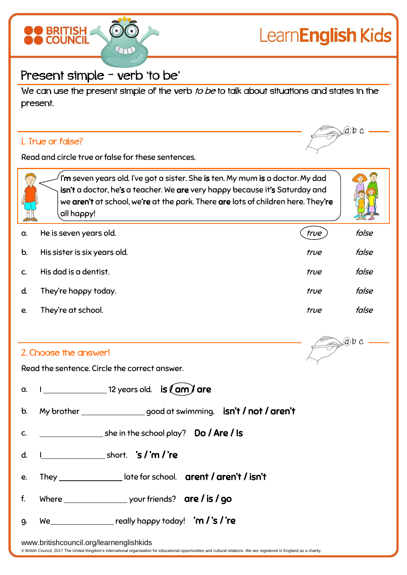

## Present simple – verb 'to be'

We can use the present simple of the verb to be to talk about situations and states in the present.

## 1. True or false?

 $(a)b c$ 

Read and circle true or false for these sentences.

 $\hat{a}$  I'm seven years old. I've got a sister. She is ten. My mum is a doctor. My dad isn't a doctor, he's a teacher. We are very happy because it's Saturday and we aren't at school, we're at the park. There are lots of children here. They're all happy!



 $ab$  c

| a.          | He is seven years old.       | true | false |
|-------------|------------------------------|------|-------|
| $\mathbf b$ | His sister is six years old. | true | false |
|             | His dad is a dentist.        | true | false |
| d.          | They're happy today.         | true | false |
| e.          | They're at school.           | true | false |

## 2. Choose the answer!

Read the sentence. Circle the correct answer.

a.  $\vert$  12 years old. is  $\langle$  am  $\rangle$  are

- b. My brother \_\_\_\_\_\_\_\_\_\_\_\_\_\_\_good at swimming. **isn't / not / aren't**
- c.  $\frac{1}{2}$  she in the school play? Do / Are / Is
- d. I short. 's / 'm / 're
- e. They \_\_\_\_\_\_\_\_\_\_\_\_\_\_\_\_late for school. arent / aren't / isn't
- f. Where your friends? are / is / go
- g. We really happy today! 'm / 's / 're

www.britishcouncil.org/learnenglishkids

© British Council, 2017 The United Kingdom's international organisation for educational opportunities and cultural relations. We are registered in England as a charity.